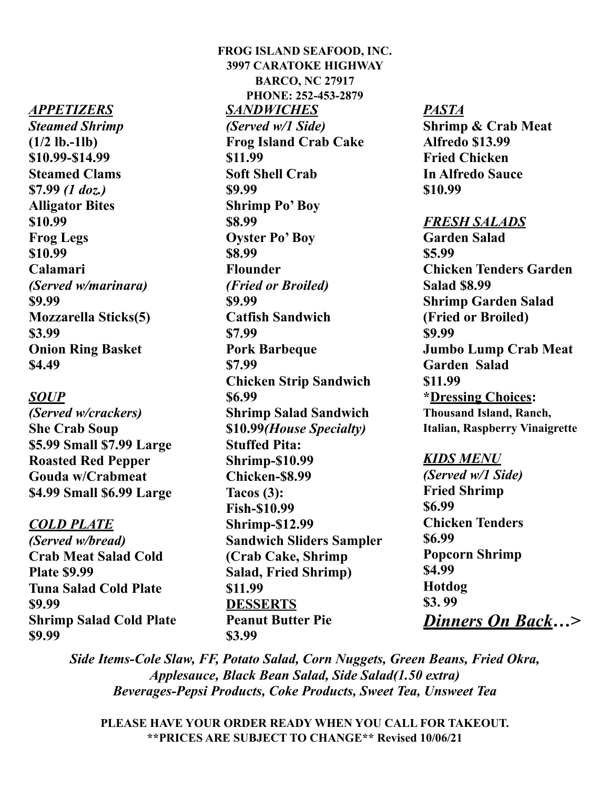#### *APPETIZERS*

*Steamed Shrimp* **(1/2 lb.-1lb) \$10.99-\$14.99 Steamed Clams \$7.99** *(1 doz.)* **Alligator Bites \$10.99 Frog Legs \$10.99 Calamari**  *(Served w/marinara)*  **\$9.99 Mozzarella Sticks(5) \$3.99 Onion Ring Basket \$4.49** 

### *SOUP*

*(Served w/crackers)*  **She Crab Soup \$5.99 Small \$7.99 Large Roasted Red Pepper Gouda w/Crabmeat \$4.99 Small \$6.99 Large** 

#### *COLD PLATE*

*(Served w/bread)*  **Crab Meat Salad Cold Plate \$9.99 Tuna Salad Cold Plate \$9.99 Shrimp Salad Cold Plate \$9.99** 

**FROG ISLAND SEAFOOD, INC. 3997 CARATOKE HIGHWAY BARCO, NC 27917 PHONE: 252-453-2879** *SANDWICHES (Served w/1 Side)* **Frog Island Crab Cake \$11.99 Soft Shell Crab \$9.99 Shrimp Po' Boy \$8.99 Oyster Po' Boy \$8.99 Flounder**  *(Fried or Broiled)*  **\$9.99 Catfish Sandwich \$7.99 Pork Barbeque \$7.99 Chicken Strip Sandwich \$6.99 Shrimp Salad Sandwich \$10.99***(House Specialty)*  **Stuffed Pita: Shrimp-\$10.99 Chicken-\$8.99 Tacos (3): Fish-\$10.99 Shrimp-\$12.99 Sandwich Sliders Sampler (Crab Cake, Shrimp Salad, Fried Shrimp) \$11.99 DESSERTS Peanut Butter Pie \$3.99** 

#### *PASTA*

**Shrimp & Crab Meat Alfredo \$13.99 Fried Chicken In Alfredo Sauce \$10.99** 

#### *FRESH SALADS*

**Garden Salad \$5.99 Chicken Tenders Garden Salad \$8.99 Shrimp Garden Salad (Fried or Broiled) \$9.99 Jumbo Lump Crab Meat Garden Salad \$11.99 \*Dressing Choices: Thousand Island, Ranch, Italian, Raspberry Vinaigrette** 

#### *KIDS MENU*

*(Served w/1 Side)*  **Fried Shrimp \$6.99 Chicken Tenders \$6.99 Popcorn Shrimp \$4.99 Hotdog \$3. 99**  *Dinners On Back…>*

*Side Items-Cole Slaw, FF, Potato Salad, Corn Nuggets, Green Beans, Fried Okra, Applesauce, Black Bean Salad, Side Salad(1.50 extra) Beverages-Pepsi Products, Coke Products, Sweet Tea, Unsweet Tea* 

**PLEASE HAVE YOUR ORDER READY WHEN YOU CALL FOR TAKEOUT. \*\*PRICES ARE SUBJECT TO CHANGE\*\* Revised 10/06/21**